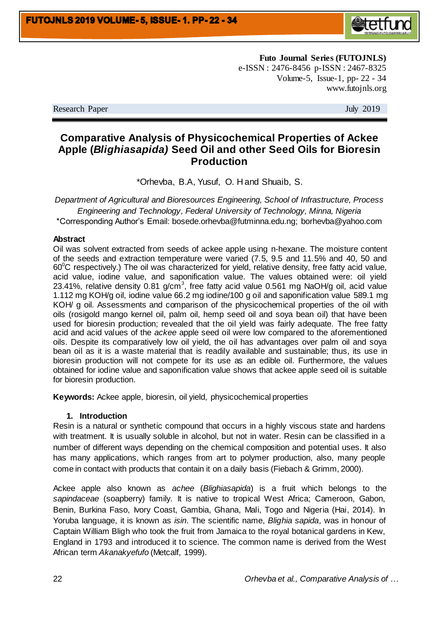

**Futo Journal Series (FUTOJNLS)** e-ISSN : 2476-8456 p-ISSN : 2467-8325 Volume-5, Issue-1, pp- 22 - 34 www.futojnls.org

Research Paper July 2019

# **Comparative Analysis of Physicochemical Properties of Ackee Apple (***Blighiasapida)* **Seed Oil and other Seed Oils for Bioresin Production**

\*Orhevba, B.A, Yusuf, O. H and Shuaib, S.

*Department of Agricultural and Bioresources Engineering, School of Infrastructure, Process Engineering and Technology, Federal University of Technology, Minna, Nigeria* \*Corresponding Author's Email: bosede.orhevba@futminna.edu.ng; borhevba@yahoo.com

#### **Abstract**

Oil was solvent extracted from seeds of ackee apple using n-hexane. The moisture content of the seeds and extraction temperature were varied (7.5, 9.5 and 11.5% and 40, 50 and  $60^{\circ}$ C respectively.) The oil was characterized for yield, relative density, free fatty acid value, acid value, iodine value, and saponification value. The values obtained were: oil yield 23.41%, relative density 0.81 g/cm<sup>3</sup>, free fatty acid value 0.561 mg NaOH/g oil, acid value 1.112 mg KOH/g oil, iodine value 66.2 mg iodine/100 g oil and saponification value 589.1 mg KOH/ g oil. Assessments and comparison of the physicochemical properties of the oil with oils (rosigold mango kernel oil, palm oil, hemp seed oil and soya bean oil) that have been used for bioresin production; revealed that the oil yield was fairly adequate. The free fatty acid and acid values of the *ackee* apple seed oil were low compared to the aforementioned oils. Despite its comparatively low oil yield, the oil has advantages over palm oil and soya bean oil as it is a waste material that is readily available and sustainable; thus, its use in bioresin production will not compete for its use as an edible oil. Furthermore, the values obtained for iodine value and saponification value shows that ackee apple seed oil is suitable for bioresin production.

**Keywords:** Ackee apple, bioresin, oil yield, physicochemical properties

## **1. Introduction**

Resin is a natural or synthetic compound that occurs in a highly viscous state and hardens with treatment. It is usually soluble in alcohol, but not in water. Resin can be classified in a number of different ways depending on the chemical composition and potential uses. It also has many applications, which ranges from art to polymer production, also, many people come in contact with products that contain it on a daily basis (Fiebach & Grimm, 2000).

Ackee apple also known as *achee* (*Blighiasapida*) is a fruit which belongs to the *sapindaceae* (soapberry) family. It is native to tropical West Africa; Cameroon, Gabon, Benin, Burkina Faso, Ivory Coast, Gambia, Ghana, Mali, Togo and Nigeria (Hai, 2014). In Yoruba language, it is known as *isin*. The scientific name, *Blighia sapida,* was in honour of Captain William Bligh who took the fruit from Jamaica to the royal botanical gardens in Kew, England in 1793 and introduced it to science. The common name is derived from the West African term *Akanakyefufo* (Metcalf, 1999).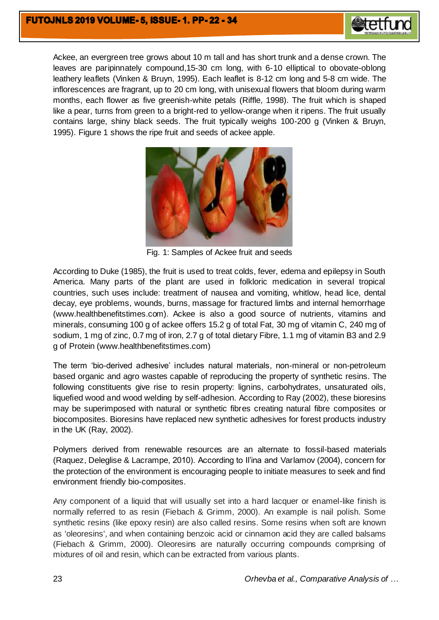

Ackee, an evergreen tree grows about 10 m tall and has short trunk and a dense crown. The leaves are paripinnately compound,15-30 cm long, with 6-10 elliptical to obovate-oblong leathery leaflets (Vinken & Bruyn, 1995). Each leaflet is 8-12 cm long and 5-8 cm wide. The inflorescences are fragrant, up to 20 cm long, with unisexual flowers that bloom during warm months, each flower as five greenish-white petals (Riffle, 1998). The fruit which is shaped like a pear, turns from green to a bright-red to yellow-orange when it ripens. The fruit usually contains large, shiny black seeds. The fruit typically weighs 100-200 g (Vinken & Bruyn, 1995). Figure 1 shows the ripe fruit and seeds of ackee apple.



Fig. 1: Samples of Ackee fruit and seeds

According to Duke (1985), the fruit is used to treat colds, fever, edema and epilepsy in South America. Many parts of the plant are used in folkloric medication in several tropical countries, such uses include: treatment of nausea and vomiting, whitlow, head lice, dental decay, eye problems, wounds, burns, massage for fractured limbs and internal hemorrhage (www.healthbenefitstimes.com). Ackee is also a good source of nutrients, vitamins and minerals, consuming 100 g of ackee offers 15.2 g of total Fat, 30 mg of vitamin C, 240 mg of sodium, 1 mg of zinc, 0.7 mg of iron, 2.7 g of total dietary Fibre, 1.1 mg of vitamin B3 and 2.9 g of Protein (www.healthbenefitstimes.com)

The term 'bio-derived adhesive' includes natural materials, non-mineral or non-petroleum based organic and agro wastes capable of reproducing the property of synthetic resins. The following constituents give rise to resin property: lignins, carbohydrates, unsaturated oils, liquefied wood and wood welding by self-adhesion. According to Ray (2002), these bioresins may be superimposed with natural or synthetic fibres creating natural fibre composites or biocomposites. Bioresins have replaced new synthetic adhesives for forest products industry in the UK (Ray, 2002).

Polymers derived from renewable resources are an alternate to fossil-based materials (Raquez, Deleglise & Lacrampe, 2010). According to Il'ina and Varlamov (2004), concern for the protection of the environment is encouraging people to initiate measures to seek and find environment friendly bio-composites.

Any component of a liquid that will usually set into a hard lacquer or enamel-like finish is normally referred to as resin (Fiebach & Grimm, 2000). An example is nail polish. Some synthetic resins (like epoxy resin) are also called resins. Some resins when soft are known as 'oleoresins', and when containing benzoic acid or cinnamon acid they are called balsams (Fiebach & Grimm, 2000). Oleoresins are naturally occurring compounds comprising of mixtures of oil and resin, which can be extracted from various plants.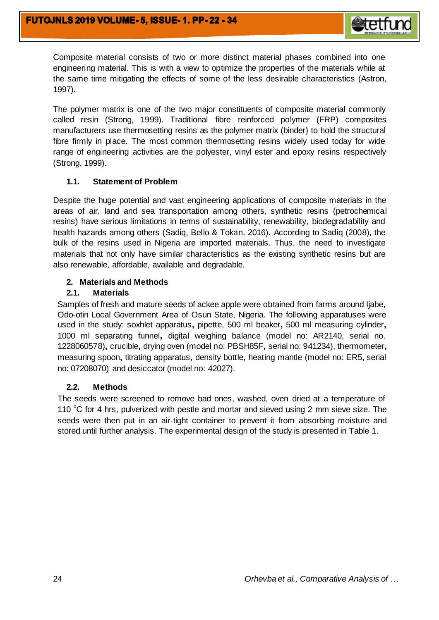

Composite material consists of two or more distinct material phases combined into one engineering material. This is with a view to optimize the properties of the materials while at the same time mitigating the effects of some of the less desirable characteristics (Astron, 1997).

The polymer matrix is one of the two major constituents of composite material commonly called resin (Strong, 1999). Traditional fibre reinforced polymer (FRP) composites manufacturers use thermosetting resins as the polymer matrix (binder) to hold the structural fibre firmly in place. The most common thermosetting resins widely used today for wide range of engineering activities are the polyester, vinyl ester and epoxy resins respectively (Strong, 1999).

## **1.1. Statement of Problem**

Despite the huge potential and vast engineering applications of composite materials in the areas of air, land and sea transportation among others, synthetic resins (petrochemical resins) have serious limitations in terms of sustainability, renewability, biodegradability and health hazards among others (Sadiq, Bello & Tokan, 2016). According to Sadiq (2008), the bulk of the resins used in Nigeria are imported materials. Thus, the need to investigate materials that not only have similar characteristics as the existing synthetic resins but are also renewable, affordable, available and degradable.

## **2. Materials and Methods**

## **2.1. Materials**

Samples of fresh and mature seeds of ackee apple were obtained from farms around Ijabe, Odo-otin Local Government Area of Osun State, Nigeria. The following apparatuses were used in the study: soxhlet apparatus**,** pipette, 500 ml beaker**,** 500 ml measuring cylinder**,**  1000 ml separating funnel**,** digital weighing balance (model no: AR2140, serial no. 1228060578)**,** crucible**,** drying oven (model no: PBSH85F**,** serial no: 941234), thermometer**,**  measuring spoon**,** titrating apparatus**,** density bottle, heating mantle (model no: ER5, serial no: 07208070) and desiccator (model no: 42027).

## **2.2. Methods**

The seeds were screened to remove bad ones, washed, oven dried at a temperature of 110  $\degree$ C for 4 hrs, pulverized with pestle and mortar and sieved using 2 mm sieve size. The seeds were then put in an air-tight container to prevent it from absorbing moisture and stored until further analysis. The experimental design of the study is presented in Table 1.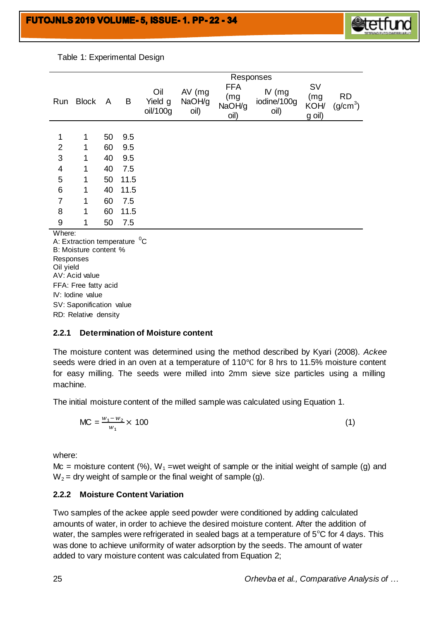

Table 1: Experimental Design

|                 |              |    |      | Responses                  |                            |                                     |                                 |                                    |                                   |
|-----------------|--------------|----|------|----------------------------|----------------------------|-------------------------------------|---------------------------------|------------------------------------|-----------------------------------|
|                 | Run Block    | A  | B    | Oil<br>Yield g<br>oil/100g | $AV$ (mg<br>NaOH/g<br>oil) | <b>FFA</b><br>(mg<br>NaOH/g<br>oil) | $IV$ (mg<br>iodine/100g<br>oil) | <b>SV</b><br>(mg<br>KOH/<br>g oil) | <b>RD</b><br>(g/cm <sup>3</sup> ) |
|                 |              |    |      |                            |                            |                                     |                                 |                                    |                                   |
| $\mathbf{1}$    | 1            | 50 | 9.5  |                            |                            |                                     |                                 |                                    |                                   |
| $\overline{2}$  | 1            | 60 | 9.5  |                            |                            |                                     |                                 |                                    |                                   |
| 3               | 1            | 40 | 9.5  |                            |                            |                                     |                                 |                                    |                                   |
| $\overline{4}$  | 1            | 40 | 7.5  |                            |                            |                                     |                                 |                                    |                                   |
| $\sqrt{5}$      | $\mathbf{1}$ | 50 | 11.5 |                            |                            |                                     |                                 |                                    |                                   |
| $6\phantom{1}6$ | 1            | 40 | 11.5 |                            |                            |                                     |                                 |                                    |                                   |
| $\overline{7}$  | 1            | 60 | 7.5  |                            |                            |                                     |                                 |                                    |                                   |
| 8               | 1            | 60 | 11.5 |                            |                            |                                     |                                 |                                    |                                   |
| 9               | 1            | 50 | 7.5  |                            |                            |                                     |                                 |                                    |                                   |
| Where:          |              |    |      |                            |                            |                                     |                                 |                                    |                                   |

A: Extraction temperature  $^0\text{C}$ B: Moisture content % Responses Oil yield AV: Acid value FFA: Free fatty acid IV: Iodine value SV: Saponification value RD: Relative density

## **2.2.1 Determination of Moisture content**

The moisture content was determined using the method described by Kyari (2008). *Ackee* seeds were dried in an oven at a temperature of 110℃ for 8 hrs to 11.5% moisture content for easy milling. The seeds were milled into 2mm sieve size particles using a milling machine.

The initial moisture content of the milled sample was calculated using Equation 1.

$$
MC = \frac{w_1 - w_2}{w_1} \times 100
$$
 (1)

where:

Mc = moisture content (%), W<sub>1</sub> =wet weight of sample or the initial weight of sample (g) and  $W_2$  = dry weight of sample or the final weight of sample (g).

#### **2.2.2 Moisture Content Variation**

Two samples of the ackee apple seed powder were conditioned by adding calculated amounts of water, in order to achieve the desired moisture content. After the addition of water, the samples were refrigerated in sealed bags at a temperature of  $5^{\circ}$ C for 4 days. This was done to achieve uniformity of water adsorption by the seeds. The amount of water added to vary moisture content was calculated from Equation 2;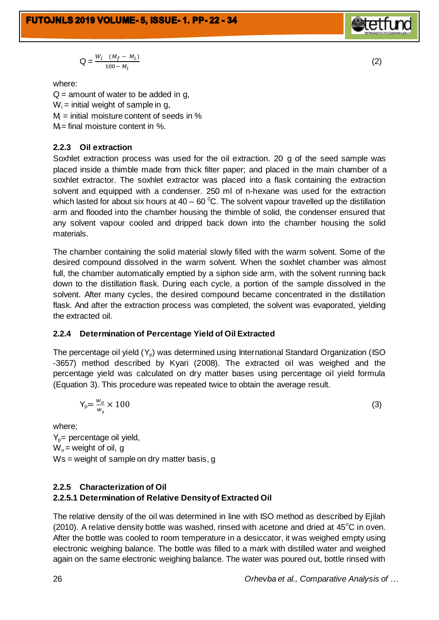**FUTOJNLS 2019 VOLUME-5, ISSUE-1. PP-22-34** 

$$
Q = \frac{W_i (M_f - M_i)}{100 - M_i}
$$

where:

 $Q =$  amount of water to be added in g,  $W_i$  = initial weight of sample in g,  $M =$  initial moisture content of seeds in %  $M =$  final moisture content in %.

## **2.2.3 Oil extraction**

Soxhlet extraction process was used for the oil extraction. 20 g of the seed sample was placed inside a thimble made from thick filter paper; and placed in the main chamber of a soxhlet extractor. The soxhlet extractor was placed into a flask containing the extraction solvent and equipped with a condenser. 250 ml of n-hexane was used for the extraction which lasted for about six hours at  $40 - 60^{\circ}$ C. The solvent vapour travelled up the distillation arm and flooded into the chamber housing the thimble of solid, the condenser ensured that any solvent vapour cooled and dripped back down into the chamber housing the solid materials.

The chamber containing the solid material slowly filled with the warm solvent. Some of the desired compound dissolved in the warm solvent. When the soxhlet chamber was almost full, the chamber automatically emptied by a siphon side arm, with the solvent running back down to the distillation flask. During each cycle, a portion of the sample dissolved in the solvent. After many cycles, the desired compound became concentrated in the distillation flask. And after the extraction process was completed, the solvent was evaporated, yielding the extracted oil.

## **2.2.4 Determination of Percentage Yield of Oil Extracted**

The percentage oil yield  $(Y<sub>o</sub>)$  was determined using International Standard Organization (ISO -3657) method described by Kyari (2008). The extracted oil was weighed and the percentage yield was calculated on dry matter bases using percentage oil yield formula (Equation 3). This procedure was repeated twice to obtain the average result.

$$
Y_p = \frac{w_o}{w_s} \times 100 \tag{3}
$$

where;  $Y_p$ = percentage oil yield,  $W_0$  = weight of oil, g Ws = weight of sample on dry matter basis, g

## **2.2.5 Characterization of Oil**

## **2.2.5.1 Determination of Relative Density of Extracted Oil**

The relative density of the oil was determined in line with ISO method as described by Ejilah (2010). A relative density bottle was washed, rinsed with acetone and dried at  $45^{\circ}$ C in oven. After the bottle was cooled to room temperature in a desiccator, it was weighed empty using electronic weighing balance. The bottle was filled to a mark with distilled water and weighed again on the same electronic weighing balance. The water was poured out, bottle rinsed with

26 *Orhevba et al., Comparative Analysis of …*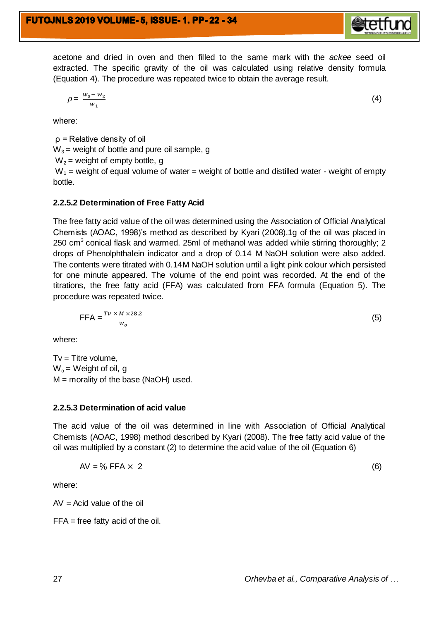acetone and dried in oven and then filled to the same mark with the *ackee* seed oil extracted. The specific gravity of the oil was calculated using relative density formula (Equation 4). The procedure was repeated twice to obtain the average result.

$$
\rho = \frac{w_3 - w_2}{w_1}
$$

where:

ρ = Relative density of oil  $W_3$  = weight of bottle and pure oil sample, g  $W_2$  = weight of empty bottle, g

 $W_1$  = weight of equal volume of water = weight of bottle and distilled water - weight of empty bottle.

#### **2.2.5.2 Determination of Free Fatty Acid**

The free fatty acid value of the oil was determined using the Association of Official Analytical Chemists (AOAC, 1998)'s method as described by Kyari (2008).1g of the oil was placed in 250 cm<sup>3</sup> conical flask and warmed. 25ml of methanol was added while stirring thoroughly; 2 drops of Phenolphthalein indicator and a drop of 0.14 M NaOH solution were also added. The contents were titrated with 0.14M NaOH solution until a light pink colour which persisted for one minute appeared. The volume of the end point was recorded. At the end of the titrations, the free fatty acid (FFA) was calculated from FFA formula (Equation 5). The procedure was repeated twice.

$$
\text{FFA} = \frac{Tv \times M \times 28.2}{w_o}
$$

where:

 $Tv =$  Titre volume,  $W_0 =$  Weight of oil, g  $M =$  morality of the base (NaOH) used.

#### **2.2.5.3 Determination of acid value**

The acid value of the oil was determined in line with Association of Official Analytical Chemists (AOAC, 1998) method described by Kyari (2008). The free fatty acid value of the oil was multiplied by a constant (2) to determine the acid value of the oil (Equation 6)

$$
AV = \% FFA \times 2 \tag{6}
$$

where:

 $AV = Acid$  value of the oil

FFA = free fatty acid of the oil.

27 *Orhevba et al., Comparative Analysis of …*

(4)

(5)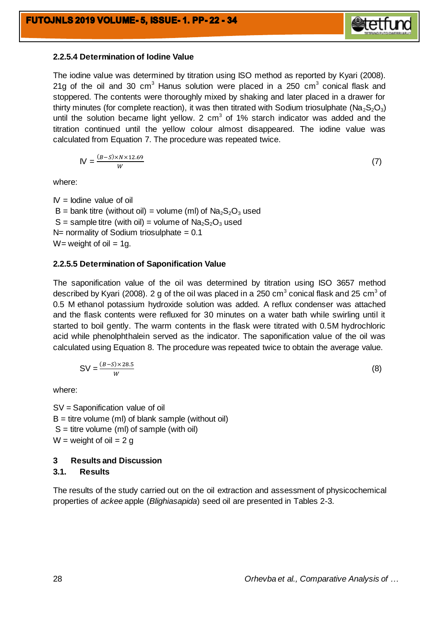

The iodine value was determined by titration using ISO method as reported by Kyari (2008). 21g of the oil and 30 cm<sup>3</sup> Hanus solution were placed in a 250 cm<sup>3</sup> conical flask and stoppered. The contents were thoroughly mixed by shaking and later placed in a drawer for thirty minutes (for complete reaction), it was then titrated with Sodium triosulphate ( $N_{a}S_{2}O_{3}$ ) until the solution became light yellow. 2  $cm<sup>3</sup>$  of 1% starch indicator was added and the titration continued until the yellow colour almost disappeared. The iodine value was calculated from Equation 7. The procedure was repeated twice.

$$
W = \frac{(B-S) \times N \times 12.69}{W}
$$

(7)

where:

 $IV =$  Iodine value of oil  $B =$  bank titre (without oil) = volume (ml) of  $Na<sub>2</sub>S<sub>2</sub>O<sub>3</sub>$  used  $S =$  sample titre (with oil) = volume of  $Na<sub>2</sub>S<sub>2</sub>O<sub>3</sub>$  used  $N=$  normality of Sodium triosulphate = 0.1  $W=$  weight of oil = 1g.

#### **2.2.5.5 Determination of Saponification Value**

The saponification value of the oil was determined by titration using ISO 3657 method described by Kyari (2008). 2 g of the oil was placed in a 250 cm $^3$  conical flask and 25 cm $^3$  of 0.5 M ethanol potassium hydroxide solution was added. A reflux condenser was attached and the flask contents were refluxed for 30 minutes on a water bath while swirling until it started to boil gently. The warm contents in the flask were titrated with 0.5M hydrochloric acid while phenolphthalein served as the indicator. The saponification value of the oil was calculated using Equation 8. The procedure was repeated twice to obtain the average value.

$$
SV = \frac{(B-S)\times 28.5}{W}
$$
 (8)

where:

SV = Saponification value of oil  $B =$  titre volume (ml) of blank sample (without oil)  $S =$  titre volume (ml) of sample (with oil)  $W = weight$  of oil = 2 g

## **3 Results and Discussion**

## **3.1. Results**

The results of the study carried out on the oil extraction and assessment of physicochemical properties of *ackee* apple (*Blighiasapida*) seed oil are presented in Tables 2-3.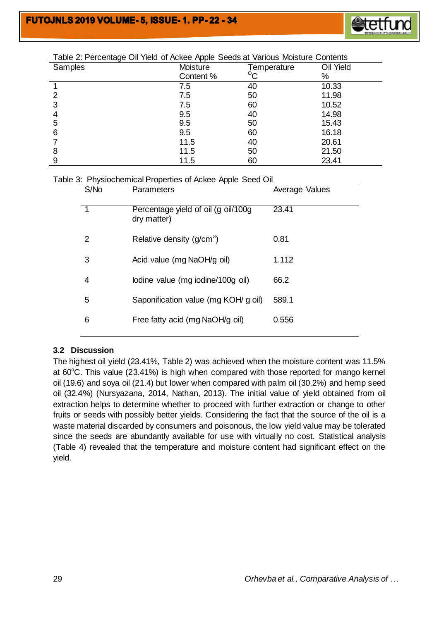

| $       -$<br>Samples | -- 1 pp.<br>Moisture | Temperature  | Oil Yield |
|-----------------------|----------------------|--------------|-----------|
|                       | Content %            | $^{\circ}$ C | %         |
|                       | 7.5                  | 40           | 10.33     |
| 2                     | 7.5                  | 50           | 11.98     |
| 3                     | 7.5                  | 60           | 10.52     |
|                       | 9.5                  | 40           | 14.98     |
| 5                     | 9.5                  | 50           | 15.43     |
| 6                     | 9.5                  | 60           | 16.18     |
|                       | 11.5                 | 40           | 20.61     |
| 8                     | 11.5                 | 50           | 21.50     |
| 9                     | 11.5                 | 60           | 23.41     |

## Table 2: Percentage Oil Yield of Ackee Apple Seeds at Various Moisture Contents

| Table 3: Physiochemical Properties of Ackee Apple Seed Oil |  |  |
|------------------------------------------------------------|--|--|
|                                                            |  |  |

| S/No | Parameters                                         | Average Values |
|------|----------------------------------------------------|----------------|
| 1    | Percentage yield of oil (g oil/100g<br>dry matter) | 23.41          |
| 2    | Relative density $(g/cm^3)$                        | 0.81           |
| 3    | Acid value (mg NaOH/g oil)                         | 1.112          |
| 4    | lodine value (mg iodine/100g oil)                  | 66.2           |
| 5    | Saponification value (mg KOH/ g oil)               | 589.1          |
| 6    | Free fatty acid (mg NaOH/g oil)                    | 0.556          |
|      |                                                    |                |

## **3.2 Discussion**

The highest oil yield (23.41%, Table 2) was achieved when the moisture content was 11.5% at  $60^{\circ}$ C. This value (23.41%) is high when compared with those reported for mango kernel oil (19.6) and soya oil (21.4) but lower when compared with palm oil (30.2%) and hemp seed oil (32.4%) (Nursyazana, 2014, Nathan, 2013). The initial value of yield obtained from oil extraction helps to determine whether to proceed with further extraction or change to other fruits or seeds with possibly better yields. Considering the fact that the source of the oil is a waste material discarded by consumers and poisonous, the low yield value may be tolerated since the seeds are abundantly available for use with virtually no cost. Statistical analysis (Table 4) revealed that the temperature and moisture content had significant effect on the yield.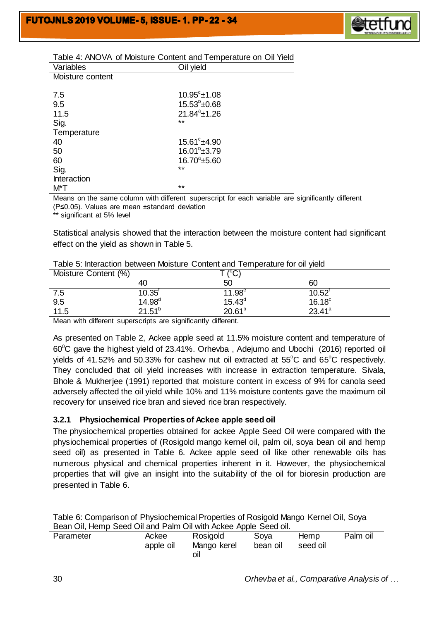

| <u>Fable 4. ANOVA OFIVIOISIME CONTENT and Temperature OFFOR TIEM</u> |                       |  |  |  |  |  |
|----------------------------------------------------------------------|-----------------------|--|--|--|--|--|
| Variables                                                            | Oil yield             |  |  |  |  |  |
| Moisture content                                                     |                       |  |  |  |  |  |
|                                                                      |                       |  |  |  |  |  |
| 7.5                                                                  | $10.95^{\circ}$ ±1.08 |  |  |  |  |  |
| 9.5                                                                  | $15.53^{\circ}$ ±0.68 |  |  |  |  |  |
| 11.5                                                                 | $21.84^a \pm 1.26$    |  |  |  |  |  |
| Sig.                                                                 | $***$                 |  |  |  |  |  |
| Temperature                                                          |                       |  |  |  |  |  |
| 40                                                                   | $15.61^{\circ}$ ±4.90 |  |  |  |  |  |
| 50                                                                   | $16.01^{\circ}$ ±3.79 |  |  |  |  |  |
| 60                                                                   | $16.70^{\circ}$ ±5.60 |  |  |  |  |  |
| Sig.                                                                 | $***$                 |  |  |  |  |  |
| <b>Interaction</b>                                                   |                       |  |  |  |  |  |
| M*T                                                                  | $***$                 |  |  |  |  |  |

#### Table 4: ANOVA of Moisture Content and Temperature on Oil Yield

Means on the same column with different superscript for each variable are significantly different (P≤0.05). Values are mean ±standard deviation

\*\* significant at 5% level

Statistical analysis showed that the interaction between the moisture content had significant effect on the yield as shown in Table 5.

| Moisture Content (%) |                   | ⊺ (°C,      |                 |
|----------------------|-------------------|-------------|-----------------|
|                      | 40                | 50          | 60              |
| 7.5                  | $10.35^{\dagger}$ | $11.98^e$   | $10.52^t$       |
| 9.5                  | $14.98^{d}$       | $15.43^{d}$ | $16.18^\circ$   |
| 11.5                 | $21.51^{b}$       | $20.61^{b}$ | $23.41^{\circ}$ |

Mean with different superscripts are significantly different.

As presented on Table 2, Ackee apple seed at 11.5% moisture content and temperature of  $60^{\circ}$ C gave the highest yield of 23.41%. Orhevba, Adejumo and Ubochi (2016) reported oil yields of 41.52% and 50.33% for cashew nut oil extracted at  $55^{\circ}$ C and  $65^{\circ}$ C respectively. They concluded that oil yield increases with increase in extraction temperature. Sivala, Bhole & Mukherjee (1991) reported that moisture content in excess of 9% for canola seed adversely affected the oil yield while 10% and 11% moisture contents gave the maximum oil recovery for unseived rice bran and sieved rice bran respectively.

## **3.2.1 Physiochemical Properties of Ackee apple seed oil**

The physiochemical properties obtained for ackee Apple Seed Oil were compared with the physiochemical properties of (Rosigold mango kernel oil, palm oil, soya bean oil and hemp seed oil) as presented in Table 6. Ackee apple seed oil like other renewable oils has numerous physical and chemical properties inherent in it. However, the physiochemical properties that will give an insight into the suitability of the oil for bioresin production are presented in Table 6.

|                                                                 | Table 6: Comparison of Physiochemical Properties of Rosigold Mango Kernel Oil, Soya |
|-----------------------------------------------------------------|-------------------------------------------------------------------------------------|
| Bean Oil, Hemp Seed Oil and Palm Oil with Ackee Apple Seed oil. |                                                                                     |

| Rosigold<br>Palm oil<br>Sova<br>Parameter<br>Ackee<br><b>Hemp</b><br>Mango kerel<br>apple oil<br>bean oil<br>seed oil<br>ΟIΙ |  |
|------------------------------------------------------------------------------------------------------------------------------|--|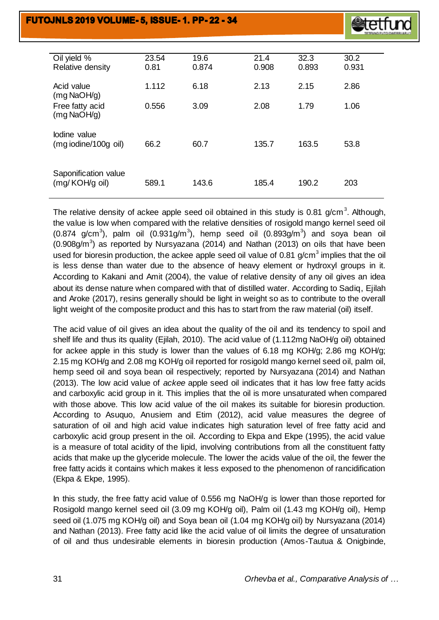

| Oil yield %<br>Relative density        | 23.54<br>0.81 | 19.6<br>0.874 | 21.4<br>0.908 | 32.3<br>0.893 | 30.2<br>0.931 |
|----------------------------------------|---------------|---------------|---------------|---------------|---------------|
| Acid value<br>$(mg$ NaOH/g)            | 1.112         | 6.18          | 2.13          | 2.15          | 2.86          |
| Free fatty acid<br>$(mg$ NaOH/g)       | 0.556         | 3.09          | 2.08          | 1.79          | 1.06          |
| lodine value<br>(mg iodine/100g oil)   | 66.2          | 60.7          | 135.7         | 163.5         | 53.8          |
| Saponification value<br>(mg/KOH/g oil) | 589.1         | 143.6         | 185.4         | 190.2         | 203           |

The relative density of ackee apple seed oil obtained in this study is 0.81 g/cm<sup>3</sup>. Although, the value is low when compared with the relative densities of rosigold mango kernel seed oil (0.874 g/cm<sup>3</sup>), palm oil (0.931g/m<sup>3</sup>), hemp seed oil (0.893g/m<sup>3</sup>) and soya bean oil  $(0.908g/m<sup>3</sup>)$  as reported by Nursyazana (2014) and Nathan (2013) on oils that have been used for bioresin production, the ackee apple seed oil value of 0.81 g/cm<sup>3</sup> implies that the oil is less dense than water due to the absence of heavy element or hydroxyl groups in it. According to Kakani and Amit (2004), the value of relative density of any oil gives an idea about its dense nature when compared with that of distilled water. According to Sadiq, Ejilah and Aroke (2017), resins generally should be light in weight so as to contribute to the overall light weight of the composite product and this has to start from the raw material (oil) itself.

The acid value of oil gives an idea about the quality of the oil and its tendency to spoil and shelf life and thus its quality (Ejilah, 2010). The acid value of (1.112mg NaOH/g oil) obtained for ackee apple in this study is lower than the values of 6.18 mg KOH/g; 2.86 mg KOH/g; 2.15 mg KOH/g and 2.08 mg KOH/g oil reported for rosigold mango kernel seed oil, palm oil, hemp seed oil and soya bean oil respectively; reported by Nursyazana (2014) and Nathan (2013). The low acid value of *ackee* apple seed oil indicates that it has low free fatty acids and carboxylic acid group in it. This implies that the oil is more unsaturated when compared with those above. This low acid value of the oil makes its suitable for bioresin production. According to Asuquo, Anusiem and Etim (2012), acid value measures the degree of saturation of oil and high acid value indicates high saturation level of free fatty acid and carboxylic acid group present in the oil. According to Ekpa and Ekpe (1995), the acid value is a measure of total acidity of the lipid, involving contributions from all the constituent fatty acids that make up the glyceride molecule. The lower the acids value of the oil, the fewer the free fatty acids it contains which makes it less exposed to the phenomenon of rancidification (Ekpa & Ekpe, 1995).

In this study, the free fatty acid value of 0.556 mg NaOH/g is lower than those reported for Rosigold mango kernel seed oil (3.09 mg KOH/g oil), Palm oil (1.43 mg KOH/g oil), Hemp seed oil (1.075 mg KOH/g oil) and Soya bean oil (1.04 mg KOH/g oil) by Nursyazana (2014) and Nathan (2013). Free fatty acid like the acid value of oil limits the degree of unsaturation of oil and thus undesirable elements in bioresin production (Amos-Tautua & Onigbinde,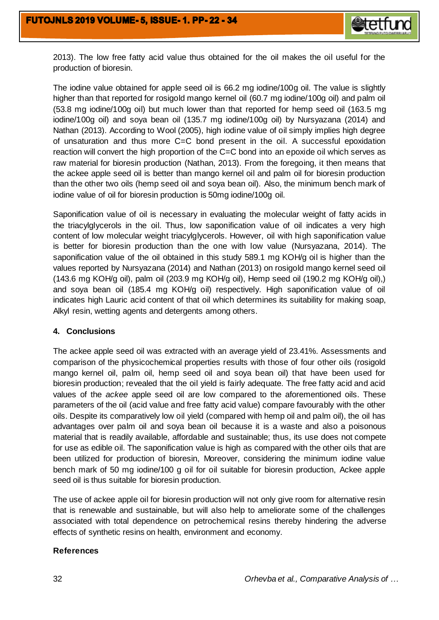

2013). The low free fatty acid value thus obtained for the oil makes the oil useful for the production of bioresin.

The iodine value obtained for apple seed oil is 66.2 mg iodine/100g oil. The value is slightly higher than that reported for rosigold mango kernel oil (60.7 mg iodine/100g oil) and palm oil (53.8 mg iodine/100g oil) but much lower than that reported for hemp seed oil (163.5 mg iodine/100g oil) and soya bean oil (135.7 mg iodine/100g oil) by Nursyazana (2014) and Nathan (2013). According to Wool (2005), high iodine value of oil simply implies high degree of unsaturation and thus more C=C bond present in the oil. A successful epoxidation reaction will convert the high proportion of the C=C bond into an epoxide oil which serves as raw material for bioresin production (Nathan, 2013). From the foregoing, it then means that the ackee apple seed oil is better than mango kernel oil and palm oil for bioresin production than the other two oils (hemp seed oil and soya bean oil). Also, the minimum bench mark of iodine value of oil for bioresin production is 50mg iodine/100g oil.

Saponification value of oil is necessary in evaluating the molecular weight of fatty acids in the triacylglycerols in the oil. Thus, low saponification value of oil indicates a very high content of low molecular weight triacylglycerols. However, oil with high saponification value is better for bioresin production than the one with low value (Nursyazana, 2014). The saponification value of the oil obtained in this study 589.1 mg KOH/g oil is higher than the values reported by Nursyazana (2014) and Nathan (2013) on rosigold mango kernel seed oil (143.6 mg KOH/g oil), palm oil (203.9 mg KOH/g oil), Hemp seed oil (190.2 mg KOH/g oil),) and soya bean oil (185.4 mg KOH/g oil) respectively. High saponification value of oil indicates high Lauric acid content of that oil which determines its suitability for making soap, Alkyl resin, wetting agents and detergents among others.

## **4. Conclusions**

The ackee apple seed oil was extracted with an average yield of 23.41%. Assessments and comparison of the physicochemical properties results with those of four other oils (rosigold mango kernel oil, palm oil, hemp seed oil and soya bean oil) that have been used for bioresin production; revealed that the oil yield is fairly adequate. The free fatty acid and acid values of the *ackee* apple seed oil are low compared to the aforementioned oils. These parameters of the oil (acid value and free fatty acid value) compare favourably with the other oils. Despite its comparatively low oil yield (compared with hemp oil and palm oil), the oil has advantages over palm oil and soya bean oil because it is a waste and also a poisonous material that is readily available, affordable and sustainable; thus, its use does not compete for use as edible oil. The saponification value is high as compared with the other oils that are been utilized for production of bioresin, Moreover, considering the minimum iodine value bench mark of 50 mg iodine/100 g oil for oil suitable for bioresin production, Ackee apple seed oil is thus suitable for bioresin production.

The use of ackee apple oil for bioresin production will not only give room for alternative resin that is renewable and sustainable, but will also help to ameliorate some of the challenges associated with total dependence on petrochemical resins thereby hindering the adverse effects of synthetic resins on health, environment and economy.

#### **References**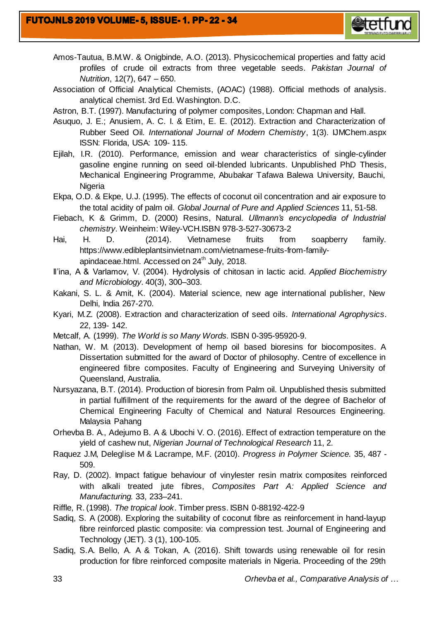

- Amos-Tautua, B.M.W. & Onigbinde, A.O. (2013). Physicochemical properties and fatty acid profiles of crude oil extracts from three vegetable seeds. *Pakistan Journal of Nutrition*, 12(7), 647 – 650.
- Association of Official Analytical Chemists, (AOAC) (1988). Official methods of analysis. analytical chemist. 3rd Ed. Washington. D.C.
- Astron, B.T. (1997). Manufacturing of polymer composites, London: Chapman and Hall.
- Asuquo, J. E.; Anusiem, A. C. I. & Etim, E. E. (2012). Extraction and Characterization of Rubber Seed Oil*. International Journal of Modern Chemistry*, 1(3). IJMChem.aspx ISSN: Florida, USA: 109- 115.
- Ejilah, I.R. (2010). Performance, emission and wear characteristics of single-cylinder gasoline engine running on seed oil-blended lubricants. Unpublished PhD Thesis, Mechanical Engineering Programme, Abubakar Tafawa Balewa University, Bauchi, **Nigeria**
- Ekpa, O.D. & Ekpe, U.J. (1995). The effects of coconut oil concentration and air exposure to the total acidity of palm oil. *Global Journal of Pure and Applied Sciences* 11, 51-58.
- Fiebach, K & Grimm, D. (2000) Resins, Natural. *Ullmann's encyclopedia of Industrial chemistry.* Weinheim: Wiley-VCH.ISBN 978-3-527-30673-2
- Hai, H. D. (2014). Vietnamese fruits from soapberry family. https://www.edibleplantsinvietnam.com/vietnamese-fruits-from-familyapindaceae.html. Accessed on 24<sup>th</sup> July, 2018.
- Il'ina, A & Varlamov, V. (2004). Hydrolysis of chitosan in lactic acid. *Applied Biochemistry and Microbiology.* 40(3), 300–303.
- Kakani, S. L. & Amit, K. (2004). Material science, new age international publisher, New Delhi, India 267-270.
- Kyari, M.Z. (2008). Extraction and characterization of seed oils. *International Agrophysics*. 22, 139- 142.
- Metcalf, A. (1999). *The World is so Many Words.* ISBN 0-395-95920-9.
- Nathan, W. M. (2013). Development of hemp oil based bioresins for biocomposites. A Dissertation submitted for the award of Doctor of philosophy. Centre of excellence in engineered fibre composites. Faculty of Engineering and Surveying University of Queensland, Australia.
- Nursyazana, B.T. (2014). Production of bioresin from Palm oil. Unpublished thesis submitted in partial fulfillment of the requirements for the award of the degree of Bachelor of Chemical Engineering Faculty of Chemical and Natural Resources Engineering. Malaysia Pahang
- Orhevba B. A., Adejumo B. A & Ubochi V. O. (2016). Effect of extraction temperature on the yield of cashew nut, *Nigerian Journal of Technological Research* 11, 2.
- Raquez J.M, Deleglise M & Lacrampe, M.F. (2010). *Progress in Polymer Science.* 35, 487 509.
- Ray, D. (2002). Impact fatigue behaviour of vinylester resin matrix composites reinforced with alkali treated jute fibres, *Composites Part A: Applied Science and Manufacturing.* 33, 233–241.
- Riffle, R. (1998). *The tropical look*. Timber press. ISBN 0-88192-422-9
- Sadiq, S. A (2008). Exploring the suitability of coconut fibre as reinforcement in hand-layup fibre reinforced plastic composite: via compression test. Journal of Engineering and Technology (JET). 3 (1), 100-105.
- Sadiq, S.A. Bello, A. A & Tokan, A. (2016). Shift towards using renewable oil for resin production for fibre reinforced composite materials in Nigeria. Proceeding of the 29th